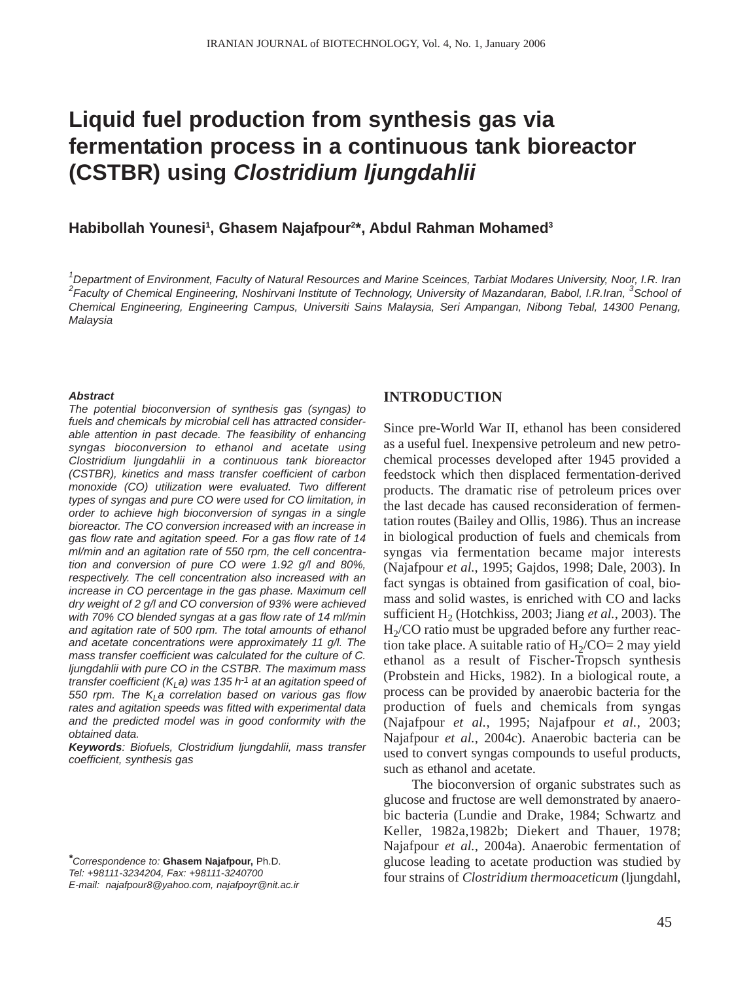# **Liquid fuel production from synthesis gas via fermentation process in a continuous tank bioreactor (CSTBR) using** *Clostridium ljungdahlii*

# Habibollah Younesi<sup>1</sup>, Ghasem Najafpour<sup>2\*</sup>, Abdul Rahman Mohamed<sup>3</sup>

*1 Department of Environment, Faculty of Natural Resources and Marine Sceinces, Tarbiat Modares University, Noor, I.R. Iran 2 Faculty of Chemical Engineering, Noshirvani Institute of Technology, University of Mazandaran, Babol, I.R.Iran, <sup>3</sup> School of Chemical Engineering, Engineering Campus, Universiti Sains Malaysia, Seri Ampangan, Nibong Tebal, 14300 Penang, Malaysia*

#### *Abstract*

*The potential bioconversion of synthesis gas (syngas) to fuels and chemicals by microbial cell has attracted considerable attention in past decade. The feasibility of enhancing syngas bioconversion to ethanol and acetate using Clostridium ljungdahlii in a continuous tank bioreactor (CSTBR), kinetics and mass transfer coefficient of carbon monoxide (CO) utilization were evaluated. Two different types of syngas and pure CO were used for CO limitation, in order to achieve high bioconversion of syngas in a single bioreactor. The CO conversion increased with an increase in gas flow rate and agitation speed. For a gas flow rate of 14 ml/min and an agitation rate of 550 rpm, the cell concentration and conversion of pure CO were 1.92 g/l and 80%, respectively. The cell concentration also increased with an increase in CO percentage in the gas phase. Maximum cell dry weight of 2 g/l and CO conversion of 93% were achieved with 70% CO blended syngas at a gas flow rate of 14 ml/min and agitation rate of 500 rpm. The total amounts of ethanol and acetate concentrations were approximately 11 g/l. The mass transfer coefficient was calculated for the culture of C. ljungdahlii with pure CO in the CSTBR. The maximum mass transfer coefficient (K<sub>i</sub> a) was 135 h<sup>-1</sup> at an agitation speed of* 550 rpm. The K<sub>L</sub>a correlation based on various gas flow *rates and agitation speeds was fitted with experimental data and the predicted model was in good conformity with the obtained data.* 

*Keywords: Biofuels, Clostridium ljungdahlii, mass transfer coefficient, synthesis gas* 

*\*Correspondence to:* **Ghasem Najafpour,** Ph.D. *Tel: +98111-3234204, Fax: +98111-3240700* 

*E-mail: najafpour8@yahoo.com, najafpoyr@nit.ac.ir*

## **INTRODUCTION**

Since pre-World War II, ethanol has been considered as a useful fuel. Inexpensive petroleum and new petrochemical processes developed after 1945 provided a feedstock which then displaced fermentation-derived products. The dramatic rise of petroleum prices over the last decade has caused reconsideration of fermentation routes (Bailey and Ollis, 1986). Thus an increase in biological production of fuels and chemicals from syngas via fermentation became major interests (Najafpour *et al.*, 1995; Gajdos, 1998; Dale, 2003). In fact syngas is obtained from gasification of coal, biomass and solid wastes, is enriched with CO and lacks sufficient H<sub>2</sub> (Hotchkiss, 2003; Jiang *et al.*, 2003). The  $H<sub>2</sub>/CO$  ratio must be upgraded before any further reaction take place. A suitable ratio of  $H<sub>2</sub>/CO= 2$  may yield ethanol as a result of Fischer-Tropsch synthesis (Probstein and Hicks, 1982). In a biological route, a process can be provided by anaerobic bacteria for the production of fuels and chemicals from syngas (Najafpour *et al.*, 1995; Najafpour *et al.*, 2003; Najafpour *et al.*, 2004c). Anaerobic bacteria can be used to convert syngas compounds to useful products, such as ethanol and acetate.

The bioconversion of organic substrates such as glucose and fructose are well demonstrated by anaerobic bacteria (Lundie and Drake, 1984; Schwartz and Keller, 1982a,1982b; Diekert and Thauer, 1978; Najafpour *et al.*, 2004a). Anaerobic fermentation of glucose leading to acetate production was studied by four strains of *Clostridium thermoaceticum* (ljungdahl,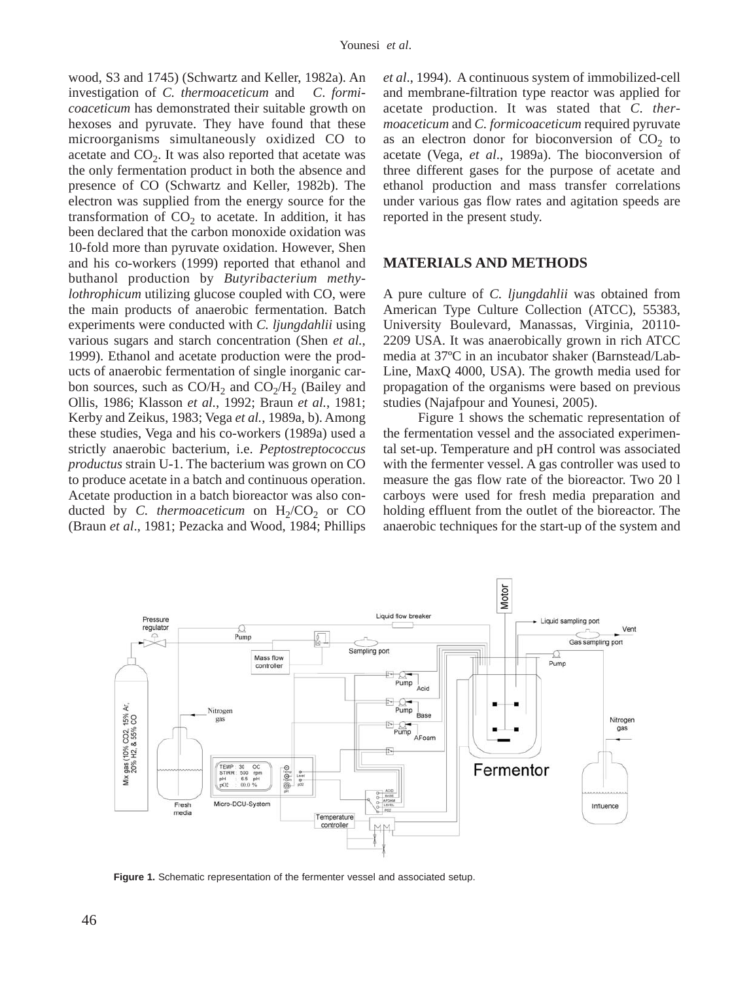wood, S3 and 1745) (Schwartz and Keller, 1982a). An investigation of *C. thermoaceticum* and *C*. *formicoaceticum* has demonstrated their suitable growth on hexoses and pyruvate. They have found that these microorganisms simultaneously oxidized CO to acetate and  $CO<sub>2</sub>$ . It was also reported that acetate was the only fermentation product in both the absence and presence of CO (Schwartz and Keller, 1982b). The electron was supplied from the energy source for the transformation of  $CO<sub>2</sub>$  to acetate. In addition, it has been declared that the carbon monoxide oxidation was 10-fold more than pyruvate oxidation. However, Shen and his co-workers (1999) reported that ethanol and buthanol production by *Butyribacterium methylothrophicum* utilizing glucose coupled with CO, were the main products of anaerobic fermentation. Batch experiments were conducted with *C. ljungdahlii* using various sugars and starch concentration (Shen *et al.*, 1999). Ethanol and acetate production were the products of anaerobic fermentation of single inorganic carbon sources, such as  $CO/H<sub>2</sub>$  and  $CO<sub>2</sub>/H<sub>2</sub>$  (Bailey and Ollis, 1986; Klasson *et al.*, 1992; Braun *et al.*, 1981; Kerby and Zeikus, 1983; Vega *et al.*, 1989a, b). Among these studies, Vega and his co-workers (1989a) used a strictly anaerobic bacterium, i.e. *Peptostreptococcus productus* strain U-1. The bacterium was grown on CO to produce acetate in a batch and continuous operation. Acetate production in a batch bioreactor was also conducted by *C. thermoaceticum* on  $H_2/CO_2$  or CO (Braun *et al*., 1981; Pezacka and Wood, 1984; Phillips

*et al*., 1994). A continuous system of immobilized-cell and membrane-filtration type reactor was applied for acetate production. It was stated that *C. thermoaceticum* and *C. formicoaceticum* required pyruvate as an electron donor for bioconversion of  $CO<sub>2</sub>$  to acetate (Vega, *et al*., 1989a). The bioconversion of three different gases for the purpose of acetate and ethanol production and mass transfer correlations under various gas flow rates and agitation speeds are reported in the present study.

## **MATERIALS AND METHODS**

A pure culture of *C. ljungdahlii* was obtained from American Type Culture Collection (ATCC), 55383, University Boulevard, Manassas, Virginia, 20110- 2209 USA. It was anaerobically grown in rich ATCC media at 37ºC in an incubator shaker (Barnstead/Lab-Line, MaxQ 4000, USA). The growth media used for propagation of the organisms were based on previous studies (Najafpour and Younesi, 2005).

Figure 1 shows the schematic representation of the fermentation vessel and the associated experimental set-up. Temperature and pH control was associated with the fermenter vessel. A gas controller was used to measure the gas flow rate of the bioreactor. Two 20 l carboys were used for fresh media preparation and holding effluent from the outlet of the bioreactor. The anaerobic techniques for the start-up of the system and



**Figure 1.** Schematic representation of the fermenter vessel and associated setup.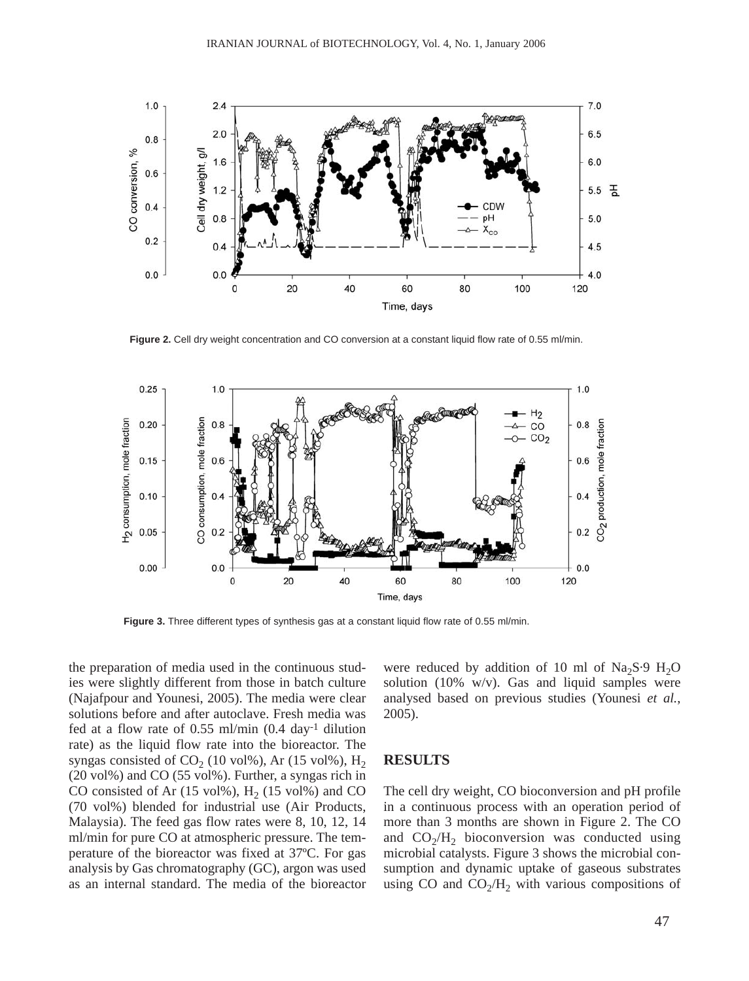

Figure 2. Cell dry weight concentration and CO conversion at a constant liquid flow rate of 0.55 ml/min.



**Figure 3.** Three different types of synthesis gas at a constant liquid flow rate of 0.55 ml/min.

the preparation of media used in the continuous studies were slightly different from those in batch culture (Najafpour and Younesi, 2005). The media were clear solutions before and after autoclave. Fresh media was fed at a flow rate of 0.55 ml/min (0.4 day-1 dilution rate) as the liquid flow rate into the bioreactor. The syngas consisted of  $CO<sub>2</sub>$  (10 vol%), Ar (15 vol%), H<sub>2</sub> (20 vol%) and CO (55 vol%). Further, a syngas rich in CO consisted of Ar  $(15 \text{ vol}\%)$ , H<sub>2</sub>  $(15 \text{ vol}\%)$  and CO (70 vol%) blended for industrial use (Air Products, Malaysia). The feed gas flow rates were 8, 10, 12, 14 ml/min for pure CO at atmospheric pressure. The temperature of the bioreactor was fixed at 37ºC. For gas analysis by Gas chromatography (GC), argon was used as an internal standard. The media of the bioreactor

were reduced by addition of 10 ml of  $Na<sub>2</sub>S·9 H<sub>2</sub>O$ solution (10% w/v). Gas and liquid samples were analysed based on previous studies (Younesi *et al.*, 2005).

#### **RESULTS**

The cell dry weight, CO bioconversion and pH profile in a continuous process with an operation period of more than 3 months are shown in Figure 2. The CO and  $CO<sub>2</sub>/H<sub>2</sub>$  bioconversion was conducted using microbial catalysts. Figure 3 shows the microbial consumption and dynamic uptake of gaseous substrates using CO and  $CO<sub>2</sub>/H<sub>2</sub>$  with various compositions of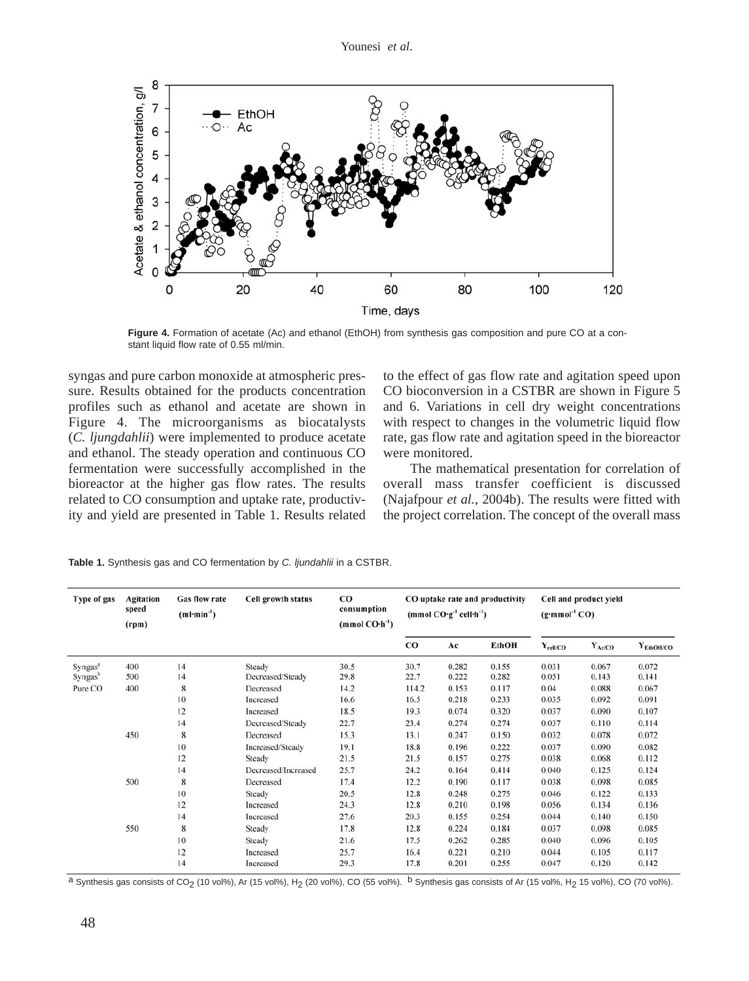

**Figure 4.** Formation of acetate (Ac) and ethanol (EthOH) from synthesis gas composition and pure CO at a constant liquid flow rate of 0.55 ml/min.

syngas and pure carbon monoxide at atmospheric pressure. Results obtained for the products concentration profiles such as ethanol and acetate are shown in Figure 4. The microorganisms as biocatalysts (*C. ljungdahlii*) were implemented to produce acetate and ethanol. The steady operation and continuous CO fermentation were successfully accomplished in the bioreactor at the higher gas flow rates. The results related to CO consumption and uptake rate, productivity and yield are presented in Table 1. Results related

to the effect of gas flow rate and agitation speed upon CO bioconversion in a CSTBR are shown in Figure 5 and 6. Variations in cell dry weight concentrations with respect to changes in the volumetric liquid flow rate, gas flow rate and agitation speed in the bioreactor were monitored.

The mathematical presentation for correlation of overall mass transfer coefficient is discussed (Najafpour *et al.*, 2004b). The results were fitted with the project correlation. The concept of the overall mass

| Type of gas         | <b>Agitation</b><br>speed<br>(rpm) | <b>Gas flow rate</b><br>$(ml·min-1)$ | Cell growth status  | $_{\rm CO}$<br>consumption<br>$(mmol CO·h-1)$ | CO uptake rate and productivity<br>(mmol $CO·g^{-1}$ cell $-h^{-1}$ ) |       |              | Cell and product yield<br>$(g\cdot \text{mmol}^{-1} CO)$ |             |                |
|---------------------|------------------------------------|--------------------------------------|---------------------|-----------------------------------------------|-----------------------------------------------------------------------|-------|--------------|----------------------------------------------------------|-------------|----------------|
|                     |                                    |                                      |                     |                                               | $_{\rm CO}$                                                           | Ac    | <b>EthOH</b> | $Y_{\text{cell/CO}}$                                     | $Y_{Ac/CO}$ | $Y_{EthOH/CO}$ |
| Syngas <sup>a</sup> | 400                                | 14                                   | Steady              | 30.5                                          | 30.7                                                                  | 0.282 | 0.155        | 0.031                                                    | 0.067       | 0.072          |
| Syngas <sup>b</sup> | 500                                | 14                                   | Decreased/Steady    | 29.8                                          | 22.7                                                                  | 0.222 | 0.282        | 0.051                                                    | 0.143       | 0.141          |
| Pure CO             | 400                                | 8                                    | Decreased           | 14.2                                          | 114.2                                                                 | 0.153 | 0.117        | 0.04                                                     | 0.088       | 0.067          |
|                     |                                    | 10                                   | Increased           | 16.6                                          | 16.5                                                                  | 0.218 | 0.233        | 0.035                                                    | 0.092       | 0.091          |
|                     |                                    | 12                                   | Increased           | 18.5                                          | 19.3                                                                  | 0.074 | 0.320        | 0.037                                                    | 0.090       | 0.107          |
|                     |                                    | 14                                   | Decreased/Steady    | 22.7                                          | 23.4                                                                  | 0.274 | 0.274        | 0.037                                                    | 0.110       | 0.114          |
|                     | 450                                | 8                                    | Decreased           | 15.3                                          | 13.1                                                                  | 0.247 | 0.150        | 0.032                                                    | 0.078       | 0.072          |
|                     |                                    | 10                                   | Increased/Steady    | 19.1                                          | 18.8                                                                  | 0.196 | 0.222        | 0.037                                                    | 0.090       | 0.082          |
|                     |                                    | 12                                   | Steady              | 21.5                                          | 21.5                                                                  | 0.157 | 0.275        | 0.038                                                    | 0.068       | 0.112          |
|                     |                                    | 14                                   | Decreased/Increased | 25.7                                          | 24.2                                                                  | 0.164 | 0.414        | 0.040                                                    | 0.125       | 0.124          |
|                     | 500                                | 8                                    | Decreased           | 17.4                                          | 12.2                                                                  | 0.190 | 0.117        | 0.038                                                    | 0.098       | 0.085          |
|                     |                                    | 10                                   | Steady              | 20.5                                          | 12.8                                                                  | 0.248 | 0.275        | 0.046                                                    | 0.122       | 0.133          |
|                     |                                    | 12                                   | Increased           | 24.3                                          | 12.8                                                                  | 0.210 | 0.198        | 0.056                                                    | 0.134       | 0.136          |
|                     |                                    | 14                                   | Increased           | 27.6                                          | 20.3                                                                  | 0.155 | 0.254        | 0.044                                                    | 0.140       | 0.150          |
|                     | 550                                | 8                                    | Steady              | 17.8                                          | 12.8                                                                  | 0.224 | 0.184        | 0.037                                                    | 0.098       | 0.085          |
|                     |                                    | 10                                   | Steady              | 21.6                                          | 17.5                                                                  | 0.262 | 0.285        | 0.040                                                    | 0.096       | 0.105          |
|                     |                                    | 12                                   | Increased           | 25.7                                          | 16.4                                                                  | 0.221 | 0.210        | 0.044                                                    | 0.105       | 0.117          |
|                     |                                    | 14                                   | Increased           | 29.3                                          | 17.8                                                                  | 0.201 | 0.255        | 0.047                                                    | 0.120       | 0.142          |

**Table 1.** Synthesis gas and CO fermentation by *C. ljundahlii* in a CSTBR.

<sup>a</sup> Synthesis gas consists of CO<sub>2</sub> (10 vol%), Ar (15 vol%), H<sub>2</sub> (20 vol%), CO (55 vol%). <sup>b</sup> Synthesis gas consists of Ar (15 vol%, H<sub>2</sub> 15 vol%), CO (70 vol%).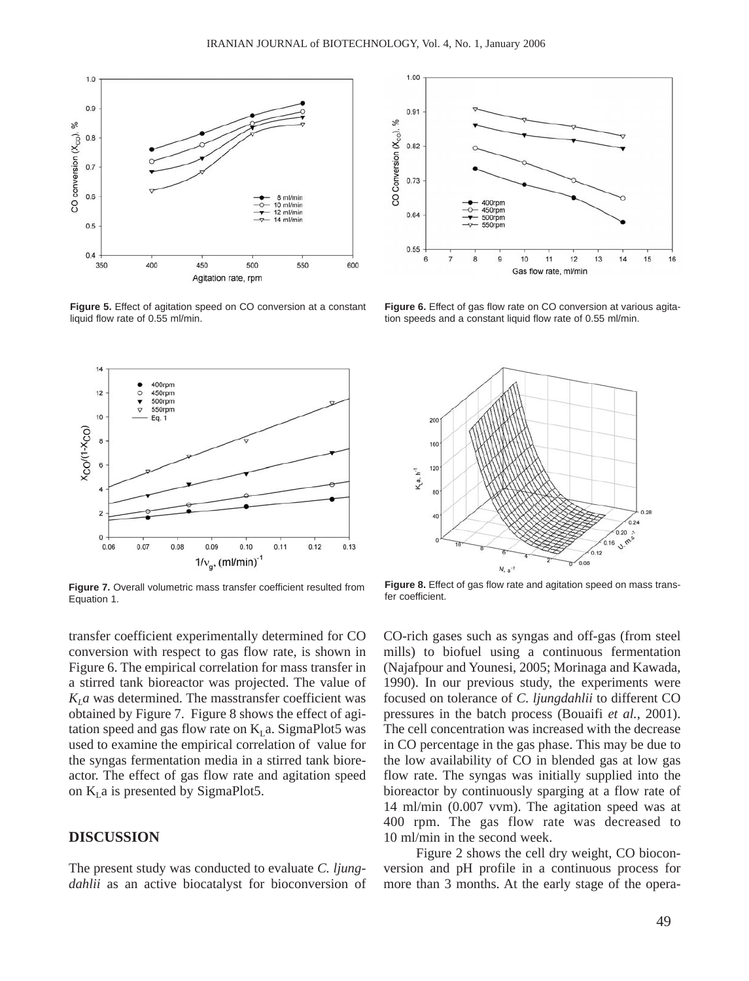

**Figure 5.** Effect of agitation speed on CO conversion at a constant liquid flow rate of 0.55 ml/min.



**Figure 7.** Overall volumetric mass transfer coefficient resulted from Equation 1.

transfer coefficient experimentally determined for CO conversion with respect to gas flow rate, is shown in Figure 6. The empirical correlation for mass transfer in a stirred tank bioreactor was projected. The value of  $K<sub>L</sub>a$  was determined. The masstransfer coefficient was obtained by Figure 7. Figure 8 shows the effect of agitation speed and gas flow rate on  $K<sub>L</sub>$  a. SigmaPlot5 was used to examine the empirical correlation of value for the syngas fermentation media in a stirred tank bioreactor. The effect of gas flow rate and agitation speed on  $K<sub>L</sub>$  a is presented by SigmaPlot5.

## **DISCUSSION**

The present study was conducted to evaluate *C. ljungdahlii* as an active biocatalyst for bioconversion of



**Figure 6.** Effect of gas flow rate on CO conversion at various agitation speeds and a constant liquid flow rate of 0.55 ml/min.



**Figure 8.** Effect of gas flow rate and agitation speed on mass transfer coefficient.

CO-rich gases such as syngas and off-gas (from steel mills) to biofuel using a continuous fermentation (Najafpour and Younesi, 2005; Morinaga and Kawada, 1990). In our previous study, the experiments were focused on tolerance of *C. ljungdahlii* to different CO pressures in the batch process (Bouaifi *et al.*, 2001). The cell concentration was increased with the decrease in CO percentage in the gas phase. This may be due to the low availability of CO in blended gas at low gas flow rate. The syngas was initially supplied into the bioreactor by continuously sparging at a flow rate of 14 ml/min (0.007 vvm). The agitation speed was at 400 rpm. The gas flow rate was decreased to 10 ml/min in the second week.

Figure 2 shows the cell dry weight, CO bioconversion and pH profile in a continuous process for more than 3 months. At the early stage of the opera-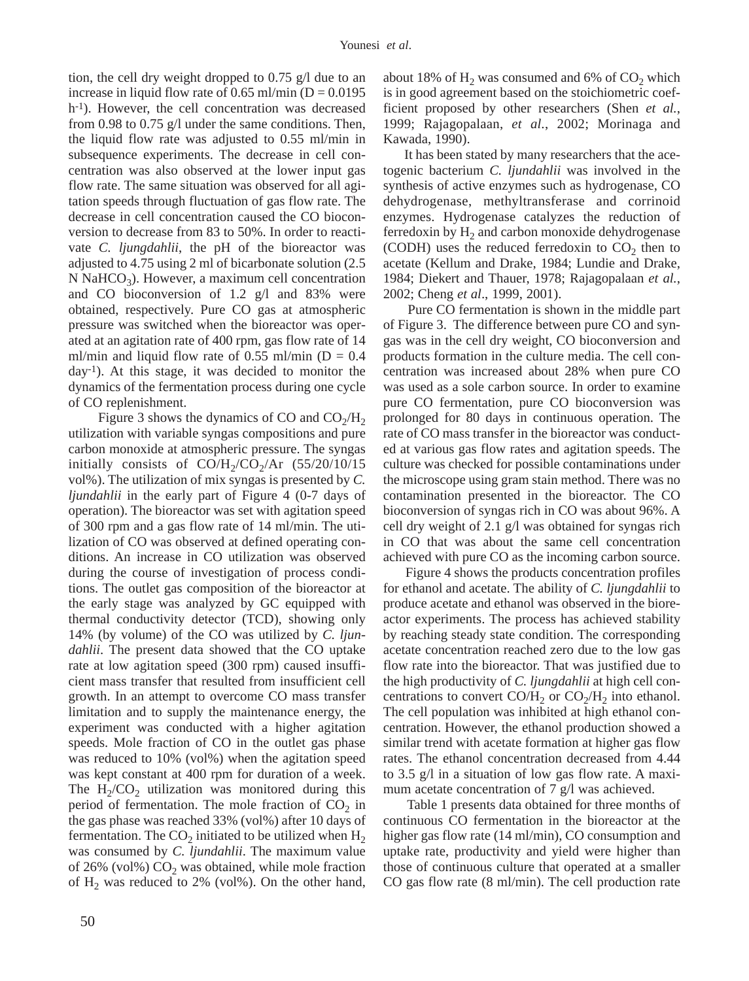tion, the cell dry weight dropped to 0.75 g/l due to an increase in liquid flow rate of 0.65 ml/min ( $D = 0.0195$ ) h-1). However, the cell concentration was decreased from 0.98 to 0.75 g/l under the same conditions. Then, the liquid flow rate was adjusted to 0.55 ml/min in subsequence experiments. The decrease in cell concentration was also observed at the lower input gas flow rate. The same situation was observed for all agitation speeds through fluctuation of gas flow rate. The decrease in cell concentration caused the CO bioconversion to decrease from 83 to 50%. In order to reactivate *C. ljungdahlii*, the pH of the bioreactor was adjusted to 4.75 using 2 ml of bicarbonate solution (2.5 N NaHCO<sub>3</sub>). However, a maximum cell concentration and CO bioconversion of 1.2 g/l and 83% were obtained, respectively. Pure CO gas at atmospheric pressure was switched when the bioreactor was operated at an agitation rate of 400 rpm, gas flow rate of 14 ml/min and liquid flow rate of 0.55 ml/min ( $D = 0.4$ ) day-1). At this stage, it was decided to monitor the dynamics of the fermentation process during one cycle of CO replenishment.

Figure 3 shows the dynamics of CO and  $CO<sub>2</sub>/H<sub>2</sub>$ utilization with variable syngas compositions and pure carbon monoxide at atmospheric pressure. The syngas initially consists of  $CO/H_2/CO_2/Ar$  (55/20/10/15 vol%). The utilization of mix syngas is presented by *C. ljundahlii* in the early part of Figure 4 (0-7 days of operation). The bioreactor was set with agitation speed of 300 rpm and a gas flow rate of 14 ml/min. The utilization of CO was observed at defined operating conditions. An increase in CO utilization was observed during the course of investigation of process conditions. The outlet gas composition of the bioreactor at the early stage was analyzed by GC equipped with thermal conductivity detector (TCD), showing only 14% (by volume) of the CO was utilized by *C. ljundahlii*. The present data showed that the CO uptake rate at low agitation speed (300 rpm) caused insufficient mass transfer that resulted from insufficient cell growth. In an attempt to overcome CO mass transfer limitation and to supply the maintenance energy, the experiment was conducted with a higher agitation speeds. Mole fraction of CO in the outlet gas phase was reduced to 10% (vol%) when the agitation speed was kept constant at 400 rpm for duration of a week. The  $H_2/CO_2$  utilization was monitored during this period of fermentation. The mole fraction of  $CO<sub>2</sub>$  in the gas phase was reached 33% (vol%) after 10 days of fermentation. The  $CO<sub>2</sub>$  initiated to be utilized when  $H<sub>2</sub>$ was consumed by *C. ljundahlii*. The maximum value of 26% (vol%)  $CO<sub>2</sub>$  was obtained, while mole fraction of  $H<sub>2</sub>$  was reduced to 2% (vol%). On the other hand,

about 18% of  $H_2$  was consumed and 6% of  $CO_2$  which is in good agreement based on the stoichiometric coefficient proposed by other researchers (Shen *et al.*, 1999; Rajagopalaan, *et al.*, 2002; Morinaga and Kawada, 1990).

It has been stated by many researchers that the acetogenic bacterium *C. ljundahlii* was involved in the synthesis of active enzymes such as hydrogenase, CO dehydrogenase, methyltransferase and corrinoid enzymes. Hydrogenase catalyzes the reduction of ferredoxin by  $H_2$  and carbon monoxide dehydrogenase (CODH) uses the reduced ferredoxin to  $CO<sub>2</sub>$  then to acetate (Kellum and Drake, 1984; Lundie and Drake, 1984; Diekert and Thauer, 1978; Rajagopalaan *et al.*, 2002; Cheng *et al*., 1999, 2001).

Pure CO fermentation is shown in the middle part of Figure 3. The difference between pure CO and syngas was in the cell dry weight, CO bioconversion and products formation in the culture media. The cell concentration was increased about 28% when pure CO was used as a sole carbon source. In order to examine pure CO fermentation, pure CO bioconversion was prolonged for 80 days in continuous operation. The rate of CO mass transfer in the bioreactor was conducted at various gas flow rates and agitation speeds. The culture was checked for possible contaminations under the microscope using gram stain method. There was no contamination presented in the bioreactor. The CO bioconversion of syngas rich in CO was about 96%. A cell dry weight of 2.1 g/l was obtained for syngas rich in CO that was about the same cell concentration achieved with pure CO as the incoming carbon source.

Figure 4 shows the products concentration profiles for ethanol and acetate. The ability of *C. ljungdahlii* to produce acetate and ethanol was observed in the bioreactor experiments. The process has achieved stability by reaching steady state condition. The corresponding acetate concentration reached zero due to the low gas flow rate into the bioreactor. That was justified due to the high productivity of *C. ljungdahlii* at high cell concentrations to convert CO/H<sub>2</sub> or CO<sub>2</sub>/H<sub>2</sub> into ethanol. The cell population was inhibited at high ethanol concentration. However, the ethanol production showed a similar trend with acetate formation at higher gas flow rates. The ethanol concentration decreased from 4.44 to 3.5 g/l in a situation of low gas flow rate. A maximum acetate concentration of 7 g/l was achieved.

Table 1 presents data obtained for three months of continuous CO fermentation in the bioreactor at the higher gas flow rate (14 ml/min), CO consumption and uptake rate, productivity and yield were higher than those of continuous culture that operated at a smaller CO gas flow rate (8 ml/min). The cell production rate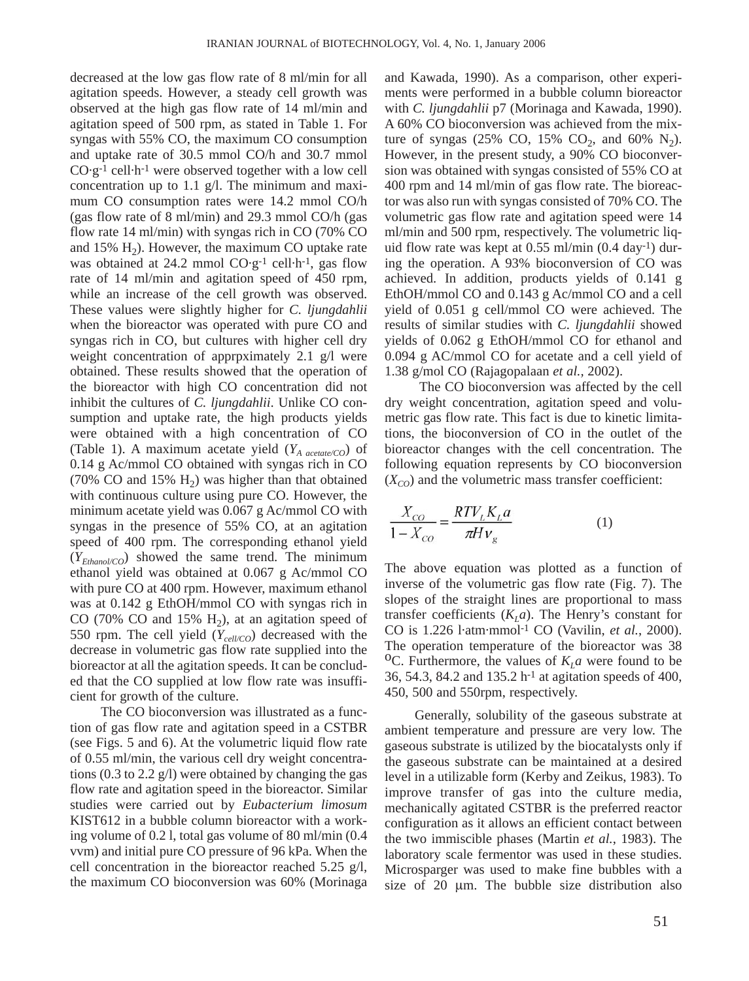decreased at the low gas flow rate of 8 ml/min for all agitation speeds. However, a steady cell growth was observed at the high gas flow rate of 14 ml/min and agitation speed of 500 rpm, as stated in Table 1. For syngas with 55% CO, the maximum CO consumption and uptake rate of 30.5 mmol CO/h and 30.7 mmol  $CO·g<sup>-1</sup>$  cell·h<sup>-1</sup> were observed together with a low cell concentration up to 1.1 g/l. The minimum and maximum CO consumption rates were 14.2 mmol CO/h (gas flow rate of 8 ml/min) and 29.3 mmol CO/h (gas flow rate 14 ml/min) with syngas rich in CO (70% CO and 15%  $H<sub>2</sub>$ ). However, the maximum CO uptake rate was obtained at 24.2 mmol  $CO·g<sup>-1</sup>$  cell $·h<sup>-1</sup>$ , gas flow rate of 14 ml/min and agitation speed of 450 rpm, while an increase of the cell growth was observed. These values were slightly higher for *C. ljungdahlii* when the bioreactor was operated with pure CO and syngas rich in CO, but cultures with higher cell dry weight concentration of approximately 2.1 g/l were obtained. These results showed that the operation of the bioreactor with high CO concentration did not inhibit the cultures of *C. ljungdahlii*. Unlike CO consumption and uptake rate, the high products yields were obtained with a high concentration of CO (Table 1). A maximum acetate yield (*YA acetate/CO*) of 0.14 g Ac/mmol CO obtained with syngas rich in CO (70% CO and 15%  $H_2$ ) was higher than that obtained with continuous culture using pure CO. However, the minimum acetate yield was 0.067 g Ac/mmol CO with syngas in the presence of 55% CO, at an agitation speed of 400 rpm. The corresponding ethanol yield  $(Y_{Ethanol/CO})$  showed the same trend. The minimum ethanol yield was obtained at 0.067 g Ac/mmol CO with pure CO at 400 rpm. However, maximum ethanol was at 0.142 g EthOH/mmol CO with syngas rich in CO (70% CO and 15%  $H_2$ ), at an agitation speed of 550 rpm. The cell yield  $(Y_{cell/CO})$  decreased with the decrease in volumetric gas flow rate supplied into the bioreactor at all the agitation speeds. It can be concluded that the CO supplied at low flow rate was insufficient for growth of the culture.

The CO bioconversion was illustrated as a function of gas flow rate and agitation speed in a CSTBR (see Figs. 5 and 6). At the volumetric liquid flow rate of 0.55 ml/min, the various cell dry weight concentrations (0.3 to 2.2 g/l) were obtained by changing the gas flow rate and agitation speed in the bioreactor. Similar studies were carried out by *Eubacterium limosum* KIST612 in a bubble column bioreactor with a working volume of 0.2 l, total gas volume of 80 ml/min (0.4 vvm) and initial pure CO pressure of 96 kPa. When the cell concentration in the bioreactor reached 5.25 g/l, the maximum CO bioconversion was 60% (Morinaga and Kawada, 1990). As a comparison, other experiments were performed in a bubble column bioreactor with *C. ljungdahlii* p7 (Morinaga and Kawada, 1990). A 60% CO bioconversion was achieved from the mixture of syngas (25% CO, 15% CO<sub>2</sub>, and 60% N<sub>2</sub>). However, in the present study, a 90% CO bioconversion was obtained with syngas consisted of 55% CO at 400 rpm and 14 ml/min of gas flow rate. The bioreactor was also run with syngas consisted of 70% CO. The volumetric gas flow rate and agitation speed were 14 ml/min and 500 rpm, respectively. The volumetric liquid flow rate was kept at 0.55 ml/min (0.4 day-1) during the operation. A 93% bioconversion of CO was achieved. In addition, products yields of 0.141 g EthOH/mmol CO and 0.143 g Ac/mmol CO and a cell yield of 0.051 g cell/mmol CO were achieved. The results of similar studies with *C. ljungdahlii* showed yields of 0.062 g EthOH/mmol CO for ethanol and 0.094 g AC/mmol CO for acetate and a cell yield of 1.38 g/mol CO (Rajagopalaan *et al.,* 2002).

The CO bioconversion was affected by the cell dry weight concentration, agitation speed and volumetric gas flow rate. This fact is due to kinetic limitations, the bioconversion of CO in the outlet of the bioreactor changes with the cell concentration. The following equation represents by CO bioconversion  $(X_{CO})$  and the volumetric mass transfer coefficient:

$$
\frac{X_{CO}}{1 - X_{CO}} = \frac{RTV_LK_La}{\pi Hv_s}
$$
(1)

The above equation was plotted as a function of inverse of the volumetric gas flow rate (Fig. 7). The slopes of the straight lines are proportional to mass transfer coefficients  $(K<sub>I</sub>a)$ . The Henry's constant for CO is 1.226 l·atm·mmol-1 CO (Vavilin, *et al.*, 2000). The operation temperature of the bioreactor was 38 <sup>O</sup>C. Furthermore, the values of  $K<sub>L</sub>a$  were found to be 36, 54.3, 84.2 and 135.2 h-1 at agitation speeds of 400, 450, 500 and 550rpm, respectively.

Generally, solubility of the gaseous substrate at ambient temperature and pressure are very low. The gaseous substrate is utilized by the biocatalysts only if the gaseous substrate can be maintained at a desired level in a utilizable form (Kerby and Zeikus, 1983). To improve transfer of gas into the culture media, mechanically agitated CSTBR is the preferred reactor configuration as it allows an efficient contact between the two immiscible phases (Martin *et al.*, 1983). The laboratory scale fermentor was used in these studies. Microsparger was used to make fine bubbles with a size of 20 µm. The bubble size distribution also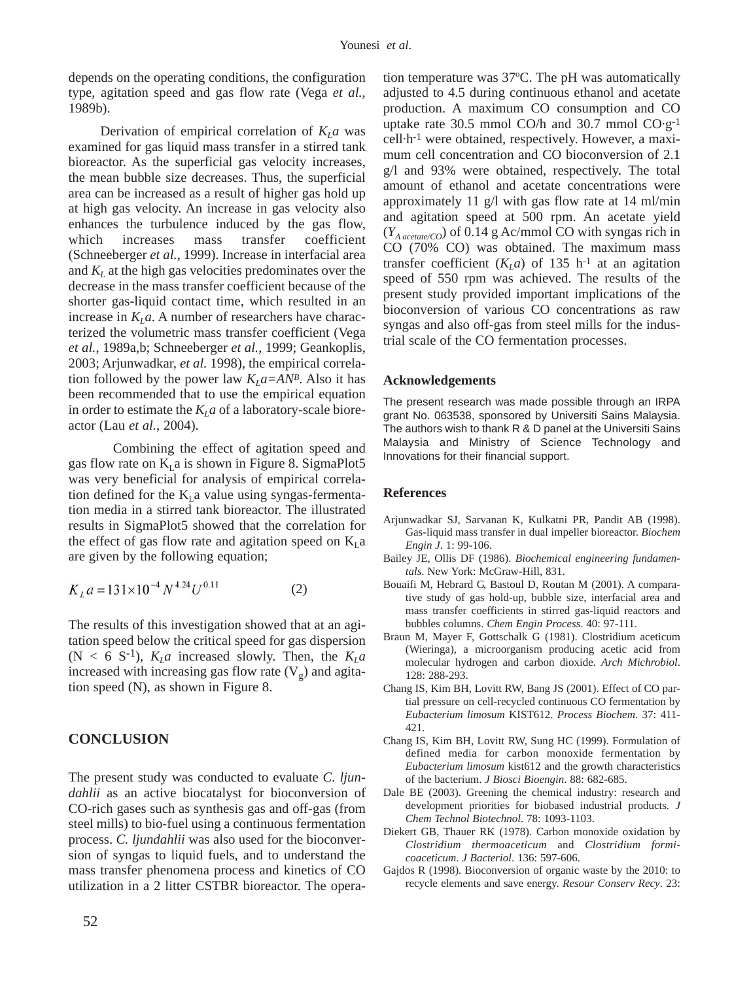depends on the operating conditions, the configuration type, agitation speed and gas flow rate (Vega *et al.*, 1989b).

Derivation of empirical correlation of  $K<sub>L</sub>a$  was examined for gas liquid mass transfer in a stirred tank bioreactor. As the superficial gas velocity increases, the mean bubble size decreases. Thus, the superficial area can be increased as a result of higher gas hold up at high gas velocity. An increase in gas velocity also enhances the turbulence induced by the gas flow, which increases mass transfer coefficient (Schneeberger *et al.*, 1999). Increase in interfacial area and  $K<sub>L</sub>$  at the high gas velocities predominates over the decrease in the mass transfer coefficient because of the shorter gas-liquid contact time, which resulted in an increase in  $K<sub>L</sub>a$ . A number of researchers have characterized the volumetric mass transfer coefficient (Vega *et al.*, 1989a,b; Schneeberger *et al.*, 1999; Geankoplis, 2003; Arjunwadkar, *et al.* 1998), the empirical correlation followed by the power law  $K<sub>L</sub> a = AN<sup>B</sup>$ . Also it has been recommended that to use the empirical equation in order to estimate the  $K<sub>L</sub>a$  of a laboratory-scale bioreactor (Lau *et al.*, 2004).

Combining the effect of agitation speed and gas flow rate on  $K<sub>I</sub>$  a is shown in Figure 8. SigmaPlot5 was very beneficial for analysis of empirical correlation defined for the  $K<sub>L</sub>$  a value using syngas-fermentation media in a stirred tank bioreactor. The illustrated results in SigmaPlot5 showed that the correlation for the effect of gas flow rate and agitation speed on  $K<sub>I</sub>$  a are given by the following equation;

$$
K_t a = 131 \times 10^{-4} N^{4.24} U^{0.11}
$$
 (2)

The results of this investigation showed that at an agitation speed below the critical speed for gas dispersion  $(N < 6 S<sup>-1</sup>)$ ,  $K<sub>L</sub>a$  increased slowly. Then, the  $K<sub>L</sub>a$ increased with increasing gas flow rate  $(V_{\varrho})$  and agitation speed (N), as shown in Figure 8.

## **CONCLUSION**

The present study was conducted to evaluate *C. ljundahlii* as an active biocatalyst for bioconversion of CO-rich gases such as synthesis gas and off-gas (from steel mills) to bio-fuel using a continuous fermentation process. *C. ljundahlii* was also used for the bioconversion of syngas to liquid fuels, and to understand the mass transfer phenomena process and kinetics of CO utilization in a 2 litter CSTBR bioreactor. The opera-

tion temperature was 37ºC. The pH was automatically adjusted to 4.5 during continuous ethanol and acetate production. A maximum CO consumption and CO uptake rate 30.5 mmol CO/h and 30.7 mmol CO·g-1 cell·h-1 were obtained, respectively. However, a maximum cell concentration and CO bioconversion of 2.1 g/l and 93% were obtained, respectively. The total amount of ethanol and acetate concentrations were approximately 11 g/l with gas flow rate at 14 ml/min and agitation speed at 500 rpm. An acetate yield (*YA acetate/CO*) of 0.14 g Ac/mmol CO with syngas rich in CO (70% CO) was obtained. The maximum mass transfer coefficient  $(K<sub>L</sub>a)$  of 135 h<sup>-1</sup> at an agitation speed of 550 rpm was achieved. The results of the present study provided important implications of the bioconversion of various CO concentrations as raw syngas and also off-gas from steel mills for the industrial scale of the CO fermentation processes.

#### **Acknowledgements**

The present research was made possible through an IRPA grant No. 063538, sponsored by Universiti Sains Malaysia. The authors wish to thank R & D panel at the Universiti Sains Malaysia and Ministry of Science Technology and Innovations for their financial support.

#### **References**

- Arjunwadkar SJ, Sarvanan K, Kulkatni PR, Pandit AB (1998). Gas-liquid mass transfer in dual impeller bioreactor. *Biochem Engin J*. 1: 99-106.
- Bailey JE, Ollis DF (1986). *Biochemical engineering fundamentals*. New York: McGraw-Hill, 831.
- Bouaifi M, Hebrard G, Bastoul D, Routan M (2001). A comparative study of gas hold-up, bubble size, interfacial area and mass transfer coefficients in stirred gas-liquid reactors and bubbles columns. *Chem Engin Process*. 40: 97-111.
- Braun M, Mayer F, Gottschalk G (1981). Clostridium aceticum (Wieringa), a microorganism producing acetic acid from molecular hydrogen and carbon dioxide. *Arch Michrobiol*. 128: 288-293.
- Chang IS, Kim BH, Lovitt RW, Bang JS (2001). Effect of CO partial pressure on cell-recycled continuous CO fermentation by *Eubacterium limosum* KIST612. *Process Biochem*. 37: 411- 421.
- Chang IS, Kim BH, Lovitt RW, Sung HC (1999). Formulation of defined media for carbon monoxide fermentation by *Eubacterium limosum* kist612 and the growth characteristics of the bacterium. *J Biosci Bioengin*. 88: 682-685.
- Dale BE (2003). Greening the chemical industry: research and development priorities for biobased industrial products*. J Chem Technol Biotechnol*. 78: 1093-1103.
- Diekert GB, Thauer RK (1978). Carbon monoxide oxidation by *Clostridium thermoaceticum* and *Clostridium formicoaceticum*. *J Bacteriol*. 136: 597-606.
- Gajdos R (1998). Bioconversion of organic waste by the 2010: to recycle elements and save energy. *Resour Conserv Recy*. 23: